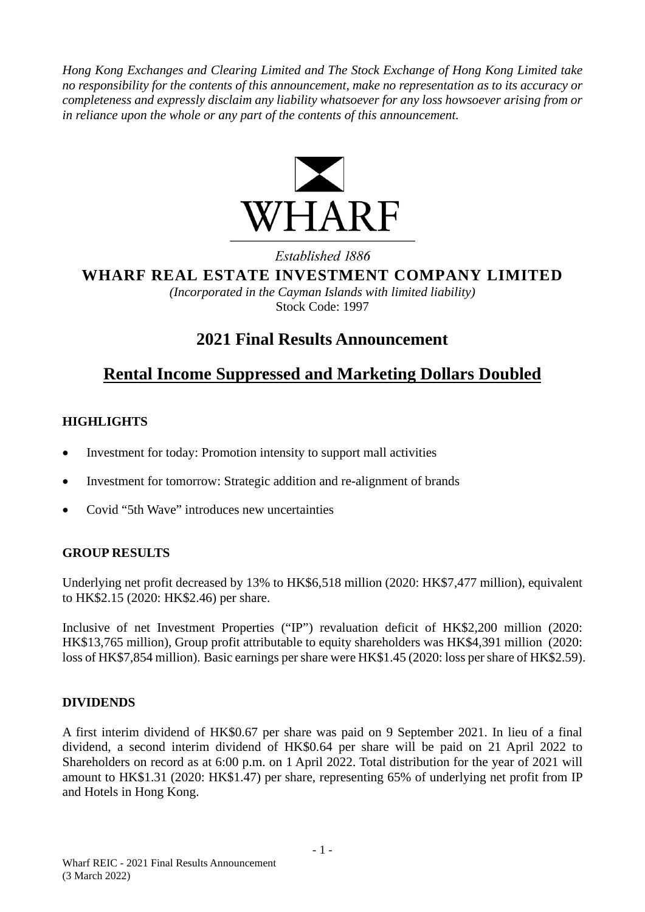*Hong Kong Exchanges and Clearing Limited and The Stock Exchange of Hong Kong Limited take no responsibility for the contents of this announcement, make no representation as to its accuracy or completeness and expressly disclaim any liability whatsoever for any loss howsoever arising from or in reliance upon the whole or any part of the contents of this announcement.*



Established 1886

**WHARF REAL ESTATE INVESTMENT COMPANY LIMITED**

*(Incorporated in the Cayman Islands with limited liability)* Stock Code: 1997

# **2021 Final Results Announcement**

# **Rental Income Suppressed and Marketing Dollars Doubled**

# **HIGHLIGHTS**

- Investment for today: Promotion intensity to support mall activities
- Investment for tomorrow: Strategic addition and re-alignment of brands
- Covid "5th Wave" introduces new uncertainties

# **GROUP RESULTS**

Underlying net profit decreased by 13% to HK\$6,518 million (2020: HK\$7,477 million), equivalent to HK\$2.15 (2020: HK\$2.46) per share.

Inclusive of net Investment Properties ("IP") revaluation deficit of HK\$2,200 million (2020: HK\$13,765 million), Group profit attributable to equity shareholders was HK\$4,391 million (2020: loss of HK\$7,854 million). Basic earnings per share were HK\$1.45 (2020: loss per share of HK\$2.59).

# **DIVIDENDS**

A first interim dividend of HK\$0.67 per share was paid on 9 September 2021. In lieu of a final dividend, a second interim dividend of HK\$0.64 per share will be paid on 21 April 2022 to Shareholders on record as at 6:00 p.m. on 1 April 2022. Total distribution for the year of 2021 will amount to HK\$1.31 (2020: HK\$1.47) per share, representing 65% of underlying net profit from IP and Hotels in Hong Kong.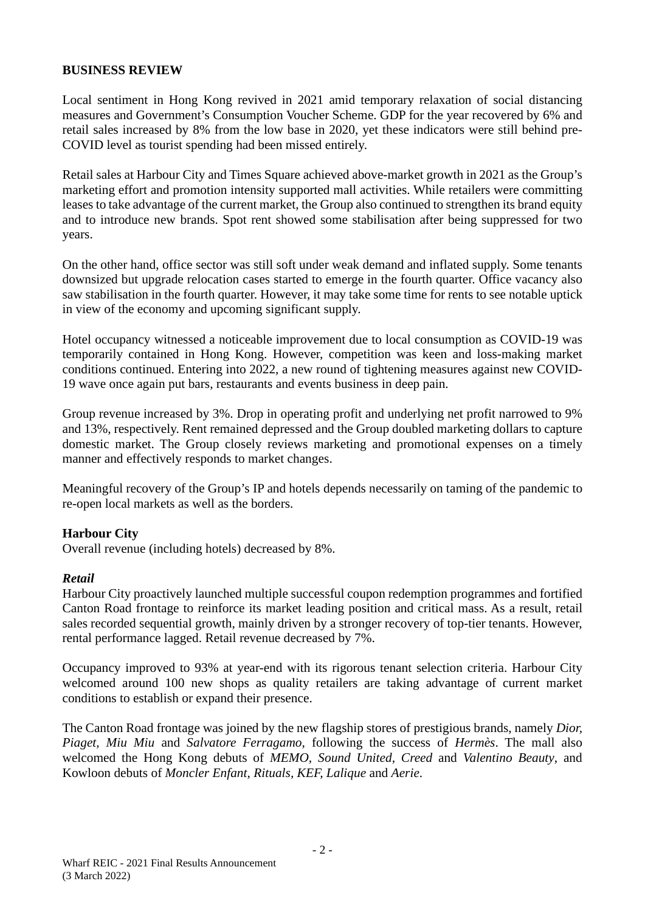#### **BUSINESS REVIEW**

Local sentiment in Hong Kong revived in 2021 amid temporary relaxation of social distancing measures and Government's Consumption Voucher Scheme. GDP for the year recovered by 6% and retail sales increased by 8% from the low base in 2020, yet these indicators were still behind pre-COVID level as tourist spending had been missed entirely.

Retail sales at Harbour City and Times Square achieved above-market growth in 2021 as the Group's marketing effort and promotion intensity supported mall activities. While retailers were committing leases to take advantage of the current market, the Group also continued to strengthen its brand equity and to introduce new brands. Spot rent showed some stabilisation after being suppressed for two years.

On the other hand, office sector was still soft under weak demand and inflated supply. Some tenants downsized but upgrade relocation cases started to emerge in the fourth quarter. Office vacancy also saw stabilisation in the fourth quarter. However, it may take some time for rents to see notable uptick in view of the economy and upcoming significant supply.

Hotel occupancy witnessed a noticeable improvement due to local consumption as COVID-19 was temporarily contained in Hong Kong. However, competition was keen and loss-making market conditions continued. Entering into 2022, a new round of tightening measures against new COVID-19 wave once again put bars, restaurants and events business in deep pain.

Group revenue increased by 3%. Drop in operating profit and underlying net profit narrowed to 9% and 13%, respectively. Rent remained depressed and the Group doubled marketing dollars to capture domestic market. The Group closely reviews marketing and promotional expenses on a timely manner and effectively responds to market changes.

Meaningful recovery of the Group's IP and hotels depends necessarily on taming of the pandemic to re-open local markets as well as the borders.

#### **Harbour City**

Overall revenue (including hotels) decreased by 8%.

#### *Retail*

Harbour City proactively launched multiple successful coupon redemption programmes and fortified Canton Road frontage to reinforce its market leading position and critical mass. As a result, retail sales recorded sequential growth, mainly driven by a stronger recovery of top-tier tenants. However, rental performance lagged. Retail revenue decreased by 7%.

Occupancy improved to 93% at year-end with its rigorous tenant selection criteria. Harbour City welcomed around 100 new shops as quality retailers are taking advantage of current market conditions to establish or expand their presence.

The Canton Road frontage was joined by the new flagship stores of prestigious brands, namely *Dior, Piaget, Miu Miu* and *Salvatore Ferragamo*, following the success of *Hermès*. The mall also welcomed the Hong Kong debuts of *MEMO, Sound United, Creed* and *Valentino Beauty*, and Kowloon debuts of *Moncler Enfant, Rituals, KEF, Lalique* and *Aerie*.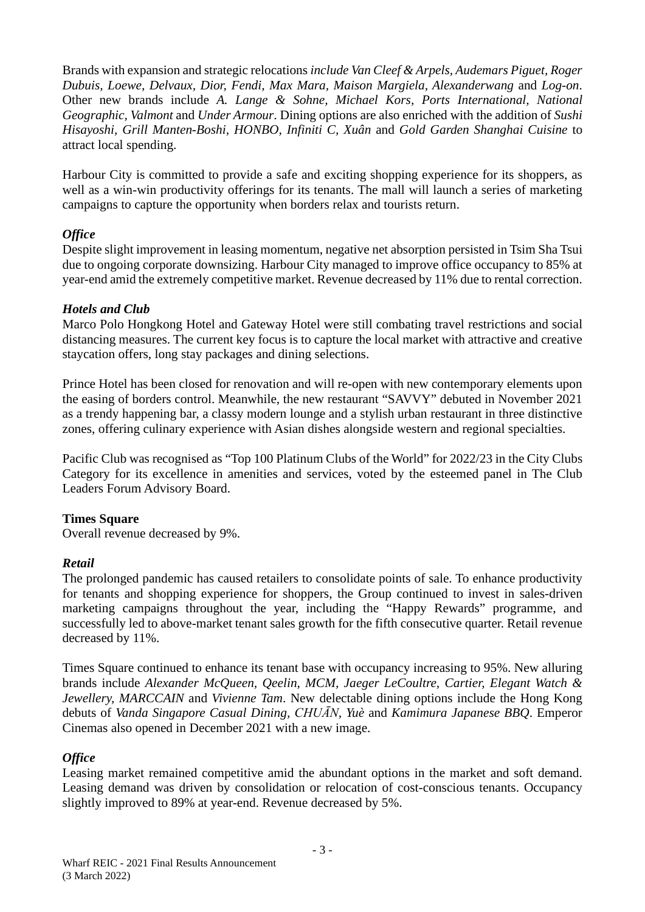Brands with expansion and strategic relocations *include Van Cleef & Arpels, Audemars Piguet, Roger Dubuis, Loewe, Delvaux, Dior, Fendi, Max Mara, Maison Margiela, Alexanderwang* and *Log-on*. Other new brands include *A. Lange & Sohne, Michael Kors, Ports International, National Geographic, Valmont* and *Under Armour*. Dining options are also enriched with the addition of *Sushi Hisayoshi, Grill Manten-Boshi, HONBO, Infiniti C, Xuân* and *Gold Garden Shanghai Cuisine* to attract local spending.

Harbour City is committed to provide a safe and exciting shopping experience for its shoppers, as well as a win-win productivity offerings for its tenants. The mall will launch a series of marketing campaigns to capture the opportunity when borders relax and tourists return.

#### *Office*

Despite slight improvement in leasing momentum, negative net absorption persisted in Tsim Sha Tsui due to ongoing corporate downsizing. Harbour City managed to improve office occupancy to 85% at year-end amid the extremely competitive market. Revenue decreased by 11% due to rental correction.

## *Hotels and Club*

Marco Polo Hongkong Hotel and Gateway Hotel were still combating travel restrictions and social distancing measures. The current key focus is to capture the local market with attractive and creative staycation offers, long stay packages and dining selections.

Prince Hotel has been closed for renovation and will re-open with new contemporary elements upon the easing of borders control. Meanwhile, the new restaurant "SAVVY" debuted in November 2021 as a trendy happening bar, a classy modern lounge and a stylish urban restaurant in three distinctive zones, offering culinary experience with Asian dishes alongside western and regional specialties.

Pacific Club was recognised as "Top 100 Platinum Clubs of the World" for 2022/23 in the City Clubs Category for its excellence in amenities and services, voted by the esteemed panel in The Club Leaders Forum Advisory Board.

#### **Times Square**

Overall revenue decreased by 9%.

#### *Retail*

The prolonged pandemic has caused retailers to consolidate points of sale. To enhance productivity for tenants and shopping experience for shoppers, the Group continued to invest in sales-driven marketing campaigns throughout the year, including the "Happy Rewards" programme, and successfully led to above-market tenant sales growth for the fifth consecutive quarter. Retail revenue decreased by 11%.

Times Square continued to enhance its tenant base with occupancy increasing to 95%. New alluring brands include *Alexander McQueen, Qeelin, MCM, Jaeger LeCoultre, Cartier, Elegant Watch & Jewellery, MARCCAIN* and *Vivienne Tam*. New delectable dining options include the Hong Kong debuts of *Vanda Singapore Casual Dining, CHUĀN, Yuè* and *Kamimura Japanese BBQ*. Emperor Cinemas also opened in December 2021 with a new image.

#### *Office*

Leasing market remained competitive amid the abundant options in the market and soft demand. Leasing demand was driven by consolidation or relocation of cost-conscious tenants. Occupancy slightly improved to 89% at year-end. Revenue decreased by 5%.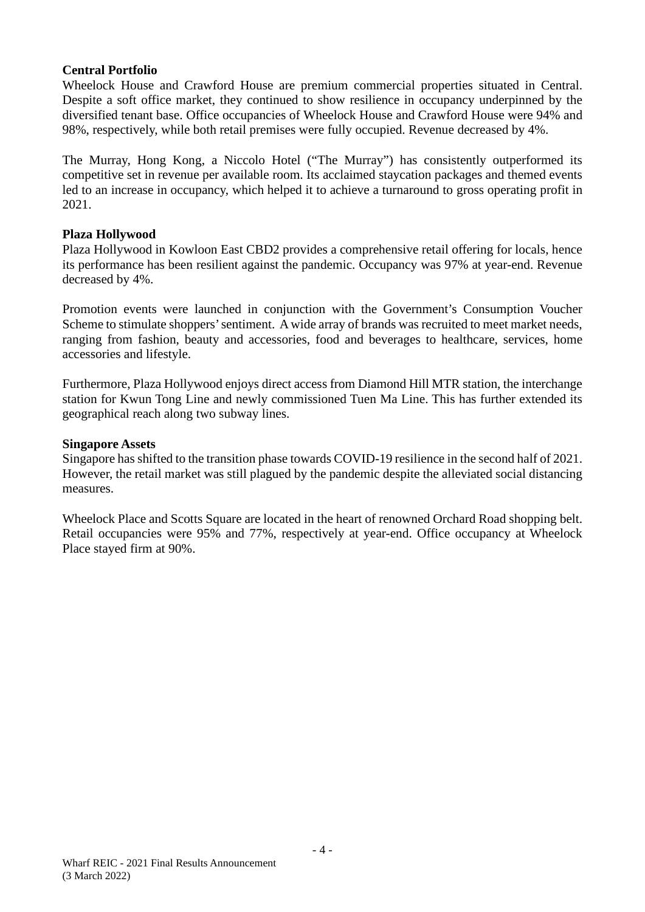#### **Central Portfolio**

Wheelock House and Crawford House are premium commercial properties situated in Central. Despite a soft office market, they continued to show resilience in occupancy underpinned by the diversified tenant base. Office occupancies of Wheelock House and Crawford House were 94% and 98%, respectively, while both retail premises were fully occupied. Revenue decreased by 4%.

The Murray, Hong Kong, a Niccolo Hotel ("The Murray") has consistently outperformed its competitive set in revenue per available room. Its acclaimed staycation packages and themed events led to an increase in occupancy, which helped it to achieve a turnaround to gross operating profit in 2021.

#### **Plaza Hollywood**

Plaza Hollywood in Kowloon East CBD2 provides a comprehensive retail offering for locals, hence its performance has been resilient against the pandemic. Occupancy was 97% at year-end. Revenue decreased by 4%.

Promotion events were launched in conjunction with the Government's Consumption Voucher Scheme to stimulate shoppers' sentiment. A wide array of brands was recruited to meet market needs, ranging from fashion, beauty and accessories, food and beverages to healthcare, services, home accessories and lifestyle.

Furthermore, Plaza Hollywood enjoys direct access from Diamond Hill MTR station, the interchange station for Kwun Tong Line and newly commissioned Tuen Ma Line. This has further extended its geographical reach along two subway lines.

#### **Singapore Assets**

Singapore has shifted to the transition phase towards COVID-19 resilience in the second half of 2021. However, the retail market was still plagued by the pandemic despite the alleviated social distancing measures.

Wheelock Place and Scotts Square are located in the heart of renowned Orchard Road shopping belt. Retail occupancies were 95% and 77%, respectively at year-end. Office occupancy at Wheelock Place stayed firm at 90%.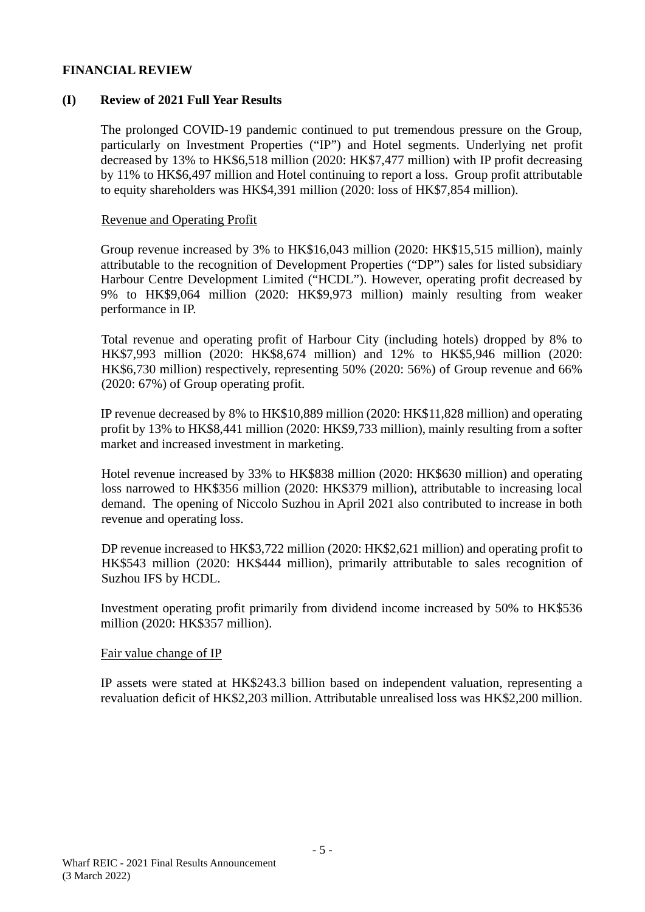#### **FINANCIAL REVIEW**

#### **(I) Review of 2021 Full Year Results**

The prolonged COVID-19 pandemic continued to put tremendous pressure on the Group, particularly on Investment Properties ("IP") and Hotel segments. Underlying net profit decreased by 13% to HK\$6,518 million (2020: HK\$7,477 million) with IP profit decreasing by 11% to HK\$6,497 million and Hotel continuing to report a loss. Group profit attributable to equity shareholders was HK\$4,391 million (2020: loss of HK\$7,854 million).

#### Revenue and Operating Profit

Group revenue increased by 3% to HK\$16,043 million (2020: HK\$15,515 million), mainly attributable to the recognition of Development Properties ("DP") sales for listed subsidiary Harbour Centre Development Limited ("HCDL"). However, operating profit decreased by 9% to HK\$9,064 million (2020: HK\$9,973 million) mainly resulting from weaker performance in IP.

Total revenue and operating profit of Harbour City (including hotels) dropped by 8% to HK\$7,993 million (2020: HK\$8,674 million) and 12% to HK\$5,946 million (2020: HK\$6,730 million) respectively, representing 50% (2020: 56%) of Group revenue and 66% (2020: 67%) of Group operating profit.

IP revenue decreased by 8% to HK\$10,889 million (2020: HK\$11,828 million) and operating profit by 13% to HK\$8,441 million (2020: HK\$9,733 million), mainly resulting from a softer market and increased investment in marketing.

Hotel revenue increased by 33% to HK\$838 million (2020: HK\$630 million) and operating loss narrowed to HK\$356 million (2020: HK\$379 million), attributable to increasing local demand. The opening of Niccolo Suzhou in April 2021 also contributed to increase in both revenue and operating loss.

DP revenue increased to HK\$3,722 million (2020: HK\$2,621 million) and operating profit to HK\$543 million (2020: HK\$444 million), primarily attributable to sales recognition of Suzhou IFS by HCDL.

Investment operating profit primarily from dividend income increased by 50% to HK\$536 million (2020: HK\$357 million).

#### Fair value change of IP

IP assets were stated at HK\$243.3 billion based on independent valuation, representing a revaluation deficit of HK\$2,203 million. Attributable unrealised loss was HK\$2,200 million.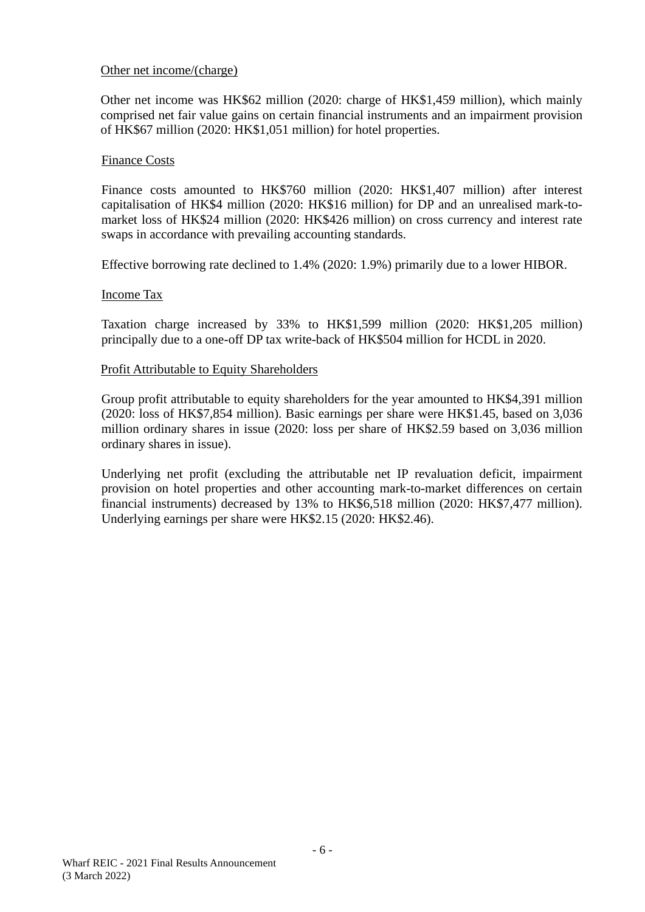#### Other net income/(charge)

Other net income was HK\$62 million (2020: charge of HK\$1,459 million), which mainly comprised net fair value gains on certain financial instruments and an impairment provision of HK\$67 million (2020: HK\$1,051 million) for hotel properties.

#### Finance Costs

Finance costs amounted to HK\$760 million (2020: HK\$1,407 million) after interest capitalisation of HK\$4 million (2020: HK\$16 million) for DP and an unrealised mark-tomarket loss of HK\$24 million (2020: HK\$426 million) on cross currency and interest rate swaps in accordance with prevailing accounting standards.

Effective borrowing rate declined to 1.4% (2020: 1.9%) primarily due to a lower HIBOR.

#### Income Tax

Taxation charge increased by 33% to HK\$1,599 million (2020: HK\$1,205 million) principally due to a one-off DP tax write-back of HK\$504 million for HCDL in 2020.

#### Profit Attributable to Equity Shareholders

Group profit attributable to equity shareholders for the year amounted to HK\$4,391 million (2020: loss of HK\$7,854 million). Basic earnings per share were HK\$1.45, based on 3,036 million ordinary shares in issue (2020: loss per share of HK\$2.59 based on 3,036 million ordinary shares in issue).

Underlying net profit (excluding the attributable net IP revaluation deficit, impairment provision on hotel properties and other accounting mark-to-market differences on certain financial instruments) decreased by 13% to HK\$6,518 million (2020: HK\$7,477 million). Underlying earnings per share were HK\$2.15 (2020: HK\$2.46).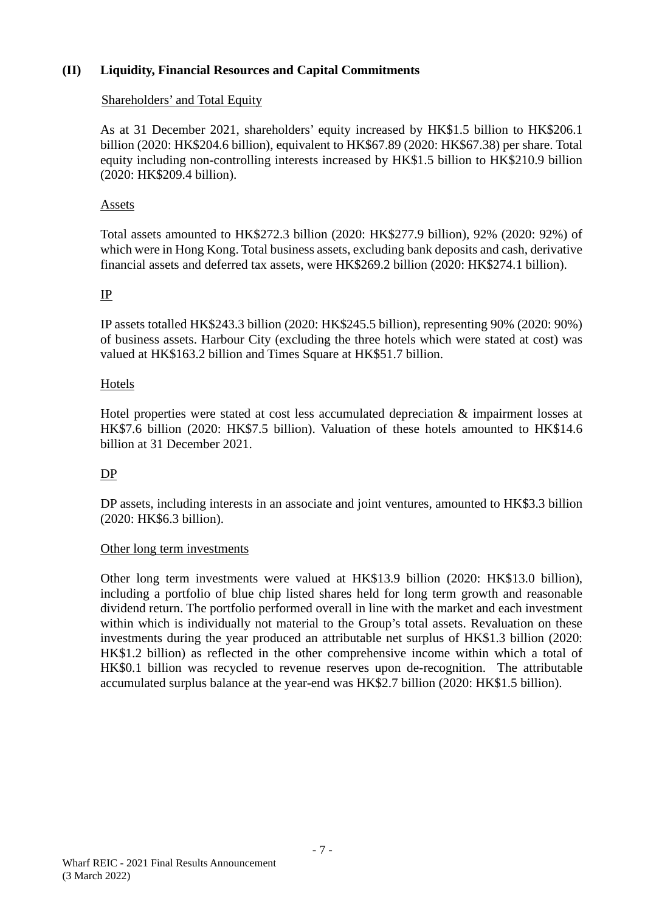## **(II) Liquidity, Financial Resources and Capital Commitments**

#### Shareholders' and Total Equity

As at 31 December 2021, shareholders' equity increased by HK\$1.5 billion to HK\$206.1 billion (2020: HK\$204.6 billion), equivalent to HK\$67.89 (2020: HK\$67.38) per share. Total equity including non-controlling interests increased by HK\$1.5 billion to HK\$210.9 billion (2020: HK\$209.4 billion).

#### Assets

Total assets amounted to HK\$272.3 billion (2020: HK\$277.9 billion), 92% (2020: 92%) of which were in Hong Kong. Total business assets, excluding bank deposits and cash, derivative financial assets and deferred tax assets, were HK\$269.2 billion (2020: HK\$274.1 billion).

#### IP

IP assets totalled HK\$243.3 billion (2020: HK\$245.5 billion), representing 90% (2020: 90%) of business assets. Harbour City (excluding the three hotels which were stated at cost) was valued at HK\$163.2 billion and Times Square at HK\$51.7 billion.

#### Hotels

Hotel properties were stated at cost less accumulated depreciation & impairment losses at HK\$7.6 billion (2020: HK\$7.5 billion). Valuation of these hotels amounted to HK\$14.6 billion at 31 December 2021.

#### DP

DP assets, including interests in an associate and joint ventures, amounted to HK\$3.3 billion (2020: HK\$6.3 billion).

#### Other long term investments

Other long term investments were valued at HK\$13.9 billion (2020: HK\$13.0 billion), including a portfolio of blue chip listed shares held for long term growth and reasonable dividend return. The portfolio performed overall in line with the market and each investment within which is individually not material to the Group's total assets. Revaluation on these investments during the year produced an attributable net surplus of HK\$1.3 billion (2020: HK\$1.2 billion) as reflected in the other comprehensive income within which a total of HK\$0.1 billion was recycled to revenue reserves upon de-recognition. The attributable accumulated surplus balance at the year-end was HK\$2.7 billion (2020: HK\$1.5 billion).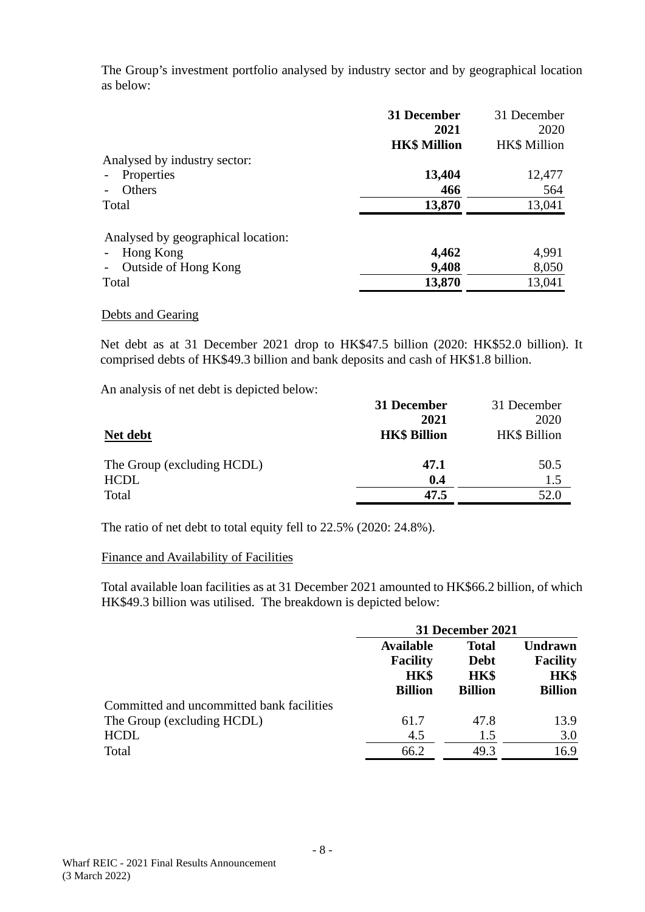The Group's investment portfolio analysed by industry sector and by geographical location as below:

|                                    | 31 December         | 31 December         |
|------------------------------------|---------------------|---------------------|
|                                    | 2021                | 2020                |
|                                    | <b>HK\$ Million</b> | <b>HK\$</b> Million |
| Analysed by industry sector:       |                     |                     |
| Properties                         | 13,404              | 12,477              |
| Others                             | 466                 | 564                 |
| Total                              | 13,870              | 13,041              |
| Analysed by geographical location: |                     |                     |
| Hong Kong                          | 4,462               | 4,991               |
| Outside of Hong Kong               | 9,408               | 8,050               |
| Total                              | 13,870              | 13,041              |
|                                    |                     |                     |

#### Debts and Gearing

Net debt as at 31 December 2021 drop to HK\$47.5 billion (2020: HK\$52.0 billion). It comprised debts of HK\$49.3 billion and bank deposits and cash of HK\$1.8 billion.

An analysis of net debt is depicted below:

|                            | 31 December         | 31 December  |
|----------------------------|---------------------|--------------|
|                            | 2021                | 2020         |
| Net debt                   | <b>HK\$ Billion</b> | HK\$ Billion |
| The Group (excluding HCDL) | 47.1                | 50.5         |
| <b>HCDL</b>                | 0.4                 | 1.5          |
| Total                      | 47.5                | 52.0         |

The ratio of net debt to total equity fell to 22.5% (2020: 24.8%).

#### Finance and Availability of Facilities

Total available loan facilities as at 31 December 2021 amounted to HK\$66.2 billion, of which HK\$49.3 billion was utilised. The breakdown is depicted below:

|                                           | 31 December 2021                                                     |                                                              |                                                             |
|-------------------------------------------|----------------------------------------------------------------------|--------------------------------------------------------------|-------------------------------------------------------------|
|                                           | <b>Available</b><br><b>Facility</b><br><b>HK\$</b><br><b>Billion</b> | <b>Total</b><br><b>Debt</b><br><b>HK\$</b><br><b>Billion</b> | <b>Undrawn</b><br><b>Facility</b><br>HK\$<br><b>Billion</b> |
| Committed and uncommitted bank facilities |                                                                      |                                                              |                                                             |
| The Group (excluding HCDL)                | 61.7                                                                 | 47.8                                                         | 13.9                                                        |
| <b>HCDL</b>                               | 4.5                                                                  | 1.5                                                          | 3.0                                                         |
| Total                                     | 66.2                                                                 | 49.3                                                         | 16.9                                                        |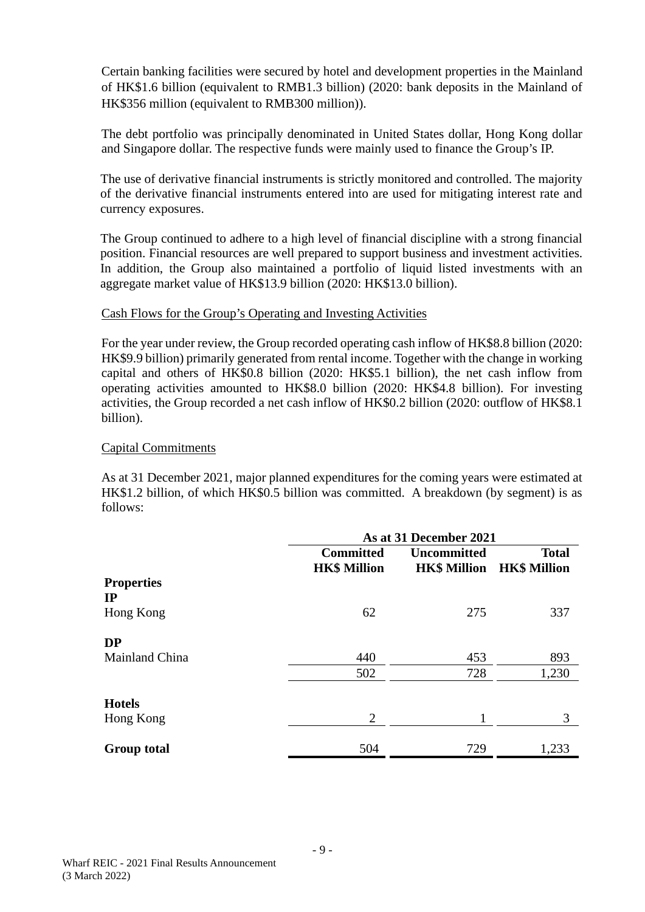Certain banking facilities were secured by hotel and development properties in the Mainland of HK\$1.6 billion (equivalent to RMB1.3 billion) (2020: bank deposits in the Mainland of HK\$356 million (equivalent to RMB300 million)).

The debt portfolio was principally denominated in United States dollar, Hong Kong dollar and Singapore dollar. The respective funds were mainly used to finance the Group's IP.

The use of derivative financial instruments is strictly monitored and controlled. The majority of the derivative financial instruments entered into are used for mitigating interest rate and currency exposures.

The Group continued to adhere to a high level of financial discipline with a strong financial position. Financial resources are well prepared to support business and investment activities. In addition, the Group also maintained a portfolio of liquid listed investments with an aggregate market value of HK\$13.9 billion (2020: HK\$13.0 billion).

#### Cash Flows for the Group's Operating and Investing Activities

For the year under review, the Group recorded operating cash inflow of HK\$8.8 billion (2020: HK\$9.9 billion) primarily generated from rental income. Together with the change in working capital and others of HK\$0.8 billion (2020: HK\$5.1 billion), the net cash inflow from operating activities amounted to HK\$8.0 billion (2020: HK\$4.8 billion). For investing activities, the Group recorded a net cash inflow of HK\$0.2 billion (2020: outflow of HK\$8.1 billion).

#### Capital Commitments

As at 31 December 2021, major planned expenditures for the coming years were estimated at HK\$1.2 billion, of which HK\$0.5 billion was committed. A breakdown (by segment) is as follows:

|                                  | As at 31 December 2021                  |                    |                                                  |  |
|----------------------------------|-----------------------------------------|--------------------|--------------------------------------------------|--|
|                                  | <b>Committed</b><br><b>HK\$ Million</b> | <b>Uncommitted</b> | <b>Total</b><br><b>HK\$ Million HK\$ Million</b> |  |
| <b>Properties</b><br>$_{\rm IP}$ |                                         |                    |                                                  |  |
| Hong Kong                        | 62                                      | 275                | 337                                              |  |
| <b>DP</b>                        |                                         |                    |                                                  |  |
| Mainland China                   | 440                                     | 453                | 893                                              |  |
|                                  | 502                                     | 728                | 1,230                                            |  |
| <b>Hotels</b>                    |                                         |                    |                                                  |  |
| Hong Kong                        | $\overline{2}$                          | 1                  | 3                                                |  |
| <b>Group total</b>               | 504                                     | 729                | 1,233                                            |  |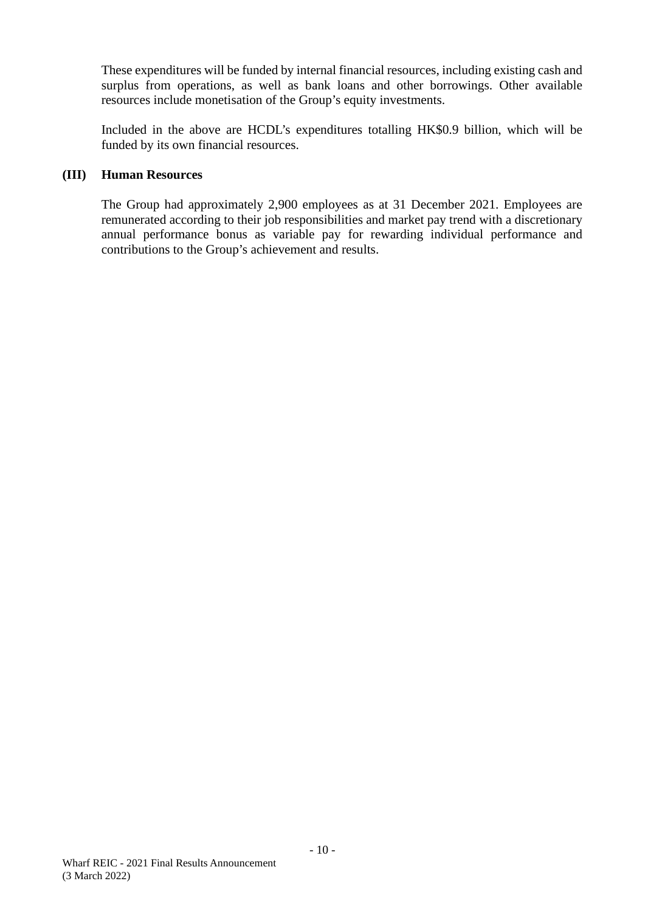These expenditures will be funded by internal financial resources, including existing cash and surplus from operations, as well as bank loans and other borrowings. Other available resources include monetisation of the Group's equity investments.

Included in the above are HCDL's expenditures totalling HK\$0.9 billion, which will be funded by its own financial resources.

#### **(III) Human Resources**

The Group had approximately 2,900 employees as at 31 December 2021. Employees are remunerated according to their job responsibilities and market pay trend with a discretionary annual performance bonus as variable pay for rewarding individual performance and contributions to the Group's achievement and results.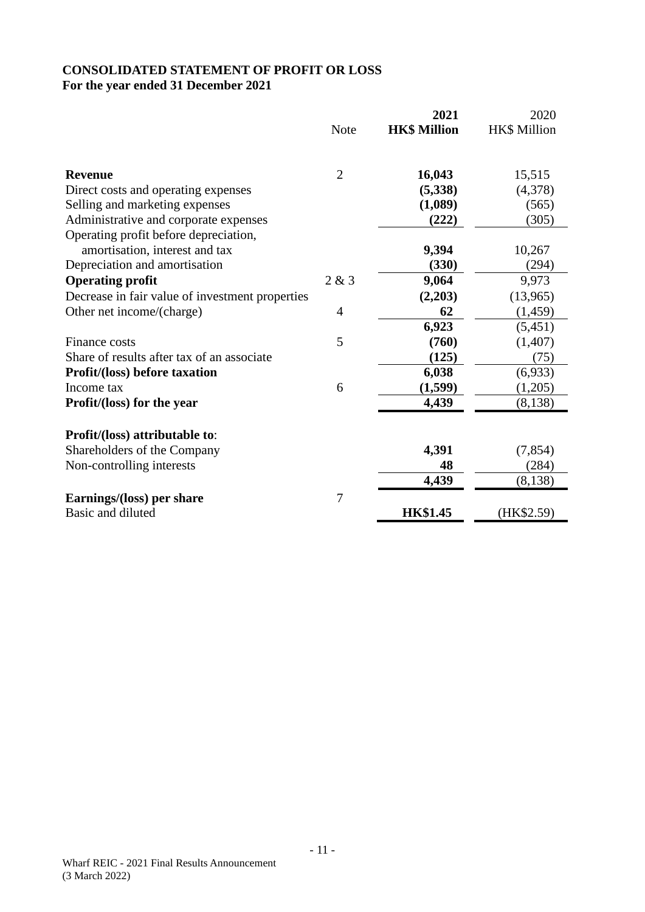# **CONSOLIDATED STATEMENT OF PROFIT OR LOSS For the year ended 31 December 2021**

|                                                 |                | 2021                | 2020         |
|-------------------------------------------------|----------------|---------------------|--------------|
|                                                 | <b>Note</b>    | <b>HK\$ Million</b> | HK\$ Million |
| <b>Revenue</b>                                  | $\overline{2}$ | 16,043              | 15,515       |
| Direct costs and operating expenses             |                | (5,338)             | (4,378)      |
| Selling and marketing expenses                  |                | (1,089)             | (565)        |
| Administrative and corporate expenses           |                | (222)               | (305)        |
| Operating profit before depreciation,           |                |                     |              |
| amortisation, interest and tax                  |                | 9,394               | 10,267       |
| Depreciation and amortisation                   |                | (330)               | (294)        |
| <b>Operating profit</b>                         | 2 & 3          | 9,064               | 9,973        |
| Decrease in fair value of investment properties |                | (2,203)             | (13,965)     |
| Other net income/(charge)                       | $\overline{4}$ | 62                  | (1,459)      |
|                                                 |                | 6,923               | (5,451)      |
| Finance costs                                   | 5              | (760)               | (1,407)      |
| Share of results after tax of an associate      |                | (125)               | (75)         |
| <b>Profit/(loss) before taxation</b>            |                | 6,038               | (6,933)      |
| Income tax                                      | 6              | (1,599)             | (1,205)      |
| <b>Profit/(loss)</b> for the year               |                | 4,439               | (8,138)      |
| Profit/(loss) attributable to:                  |                |                     |              |
| Shareholders of the Company                     |                | 4,391               | (7, 854)     |
| Non-controlling interests                       |                | 48                  | (284)        |
|                                                 |                | 4,439               | (8, 138)     |
| Earnings/(loss) per share                       | 7              |                     |              |
| Basic and diluted                               |                | <b>HK\$1.45</b>     | (HK\$2.59)   |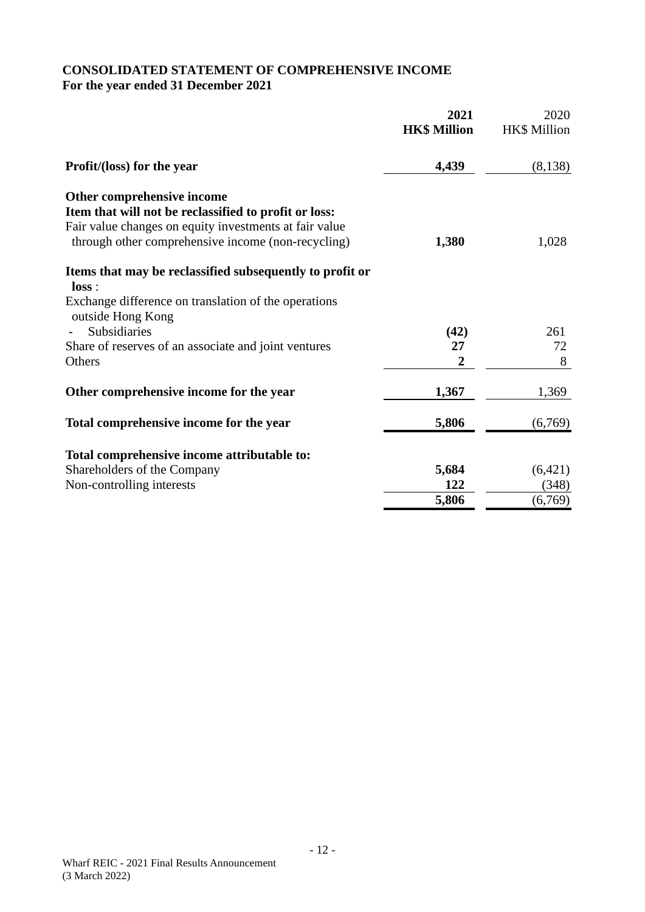# **CONSOLIDATED STATEMENT OF COMPREHENSIVE INCOME For the year ended 31 December 2021**

|                                                                                                                                                                                                     | 2021<br><b>HK\$ Million</b> | 2020<br><b>HK\$</b> Million |
|-----------------------------------------------------------------------------------------------------------------------------------------------------------------------------------------------------|-----------------------------|-----------------------------|
| Profit/(loss) for the year                                                                                                                                                                          | 4,439                       | (8,138)                     |
| Other comprehensive income<br>Item that will not be reclassified to profit or loss:<br>Fair value changes on equity investments at fair value<br>through other comprehensive income (non-recycling) | 1,380                       | 1,028                       |
| Items that may be reclassified subsequently to profit or<br>loss:<br>Exchange difference on translation of the operations<br>outside Hong Kong                                                      |                             |                             |
| <b>Subsidiaries</b>                                                                                                                                                                                 | (42)                        | 261                         |
| Share of reserves of an associate and joint ventures                                                                                                                                                | 27                          | 72                          |
| Others                                                                                                                                                                                              | $\overline{2}$              | 8                           |
| Other comprehensive income for the year                                                                                                                                                             | 1,367                       | 1,369                       |
| Total comprehensive income for the year                                                                                                                                                             | 5,806                       | (6,769)                     |
| Total comprehensive income attributable to:                                                                                                                                                         |                             |                             |
| Shareholders of the Company                                                                                                                                                                         | 5,684                       | (6,421)                     |
| Non-controlling interests                                                                                                                                                                           | 122                         | (348)                       |
|                                                                                                                                                                                                     | 5,806                       | (6,769)                     |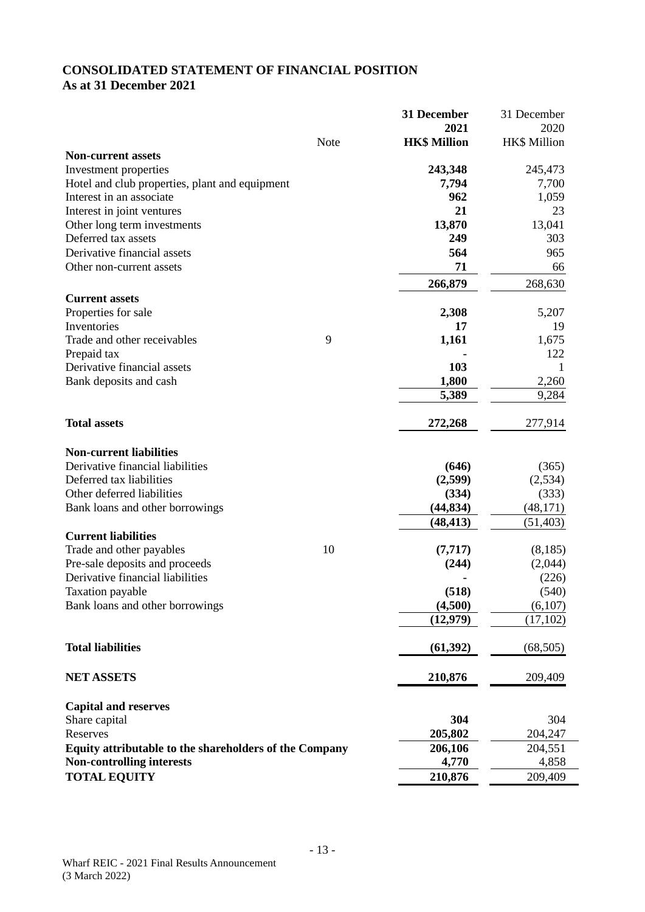# **CONSOLIDATED STATEMENT OF FINANCIAL POSITION As at 31 December 2021**

|                                                        |      | 31 December         | 31 December  |
|--------------------------------------------------------|------|---------------------|--------------|
|                                                        |      | 2021                | 2020         |
|                                                        | Note | <b>HK\$ Million</b> | HK\$ Million |
| <b>Non-current assets</b>                              |      |                     |              |
| Investment properties                                  |      | 243,348             | 245,473      |
| Hotel and club properties, plant and equipment         |      | 7,794               | 7,700        |
| Interest in an associate                               |      | 962                 | 1,059        |
| Interest in joint ventures                             |      | 21                  | 23           |
| Other long term investments                            |      | 13,870              | 13,041       |
| Deferred tax assets                                    |      | 249                 | 303          |
| Derivative financial assets                            |      | 564                 | 965          |
| Other non-current assets                               |      | 71                  | 66           |
|                                                        |      | 266,879             | 268,630      |
| <b>Current assets</b>                                  |      |                     |              |
| Properties for sale                                    |      | 2,308               | 5,207        |
| Inventories                                            |      | 17                  | 19           |
| Trade and other receivables                            | 9    | 1,161               | 1,675        |
| Prepaid tax                                            |      |                     | 122          |
| Derivative financial assets                            |      | 103                 | 1            |
| Bank deposits and cash                                 |      | 1,800               | 2,260        |
|                                                        |      | 5,389               | 9,284        |
|                                                        |      |                     |              |
| <b>Total assets</b>                                    |      | 272,268             | 277,914      |
|                                                        |      |                     |              |
| <b>Non-current liabilities</b>                         |      |                     |              |
| Derivative financial liabilities                       |      | (646)               | (365)        |
| Deferred tax liabilities                               |      | (2,599)             | (2,534)      |
| Other deferred liabilities                             |      | (334)               | (333)        |
| Bank loans and other borrowings                        |      | (44, 834)           | (48,171)     |
|                                                        |      | (48, 413)           | (51, 403)    |
| <b>Current liabilities</b>                             |      |                     |              |
| Trade and other payables                               | 10   | (7, 717)            | (8,185)      |
| Pre-sale deposits and proceeds                         |      | (244)               | (2,044)      |
| Derivative financial liabilities                       |      |                     | (226)        |
| Taxation payable                                       |      | (518)               | (540)        |
| Bank loans and other borrowings                        |      | (4,500)             | (6,107)      |
|                                                        |      | (12, 979)           | (17, 102)    |
|                                                        |      |                     |              |
| <b>Total liabilities</b>                               |      | (61, 392)           | (68, 505)    |
|                                                        |      |                     |              |
| <b>NET ASSETS</b>                                      |      | 210,876             | 209,409      |
|                                                        |      |                     |              |
| <b>Capital and reserves</b>                            |      |                     |              |
| Share capital                                          |      | 304                 | 304          |
| Reserves                                               |      | 205,802             | 204,247      |
| Equity attributable to the shareholders of the Company |      | 206,106             | 204,551      |
| <b>Non-controlling interests</b>                       |      | 4,770               | 4,858        |
| <b>TOTAL EQUITY</b>                                    |      | 210,876             | 209,409      |
|                                                        |      |                     |              |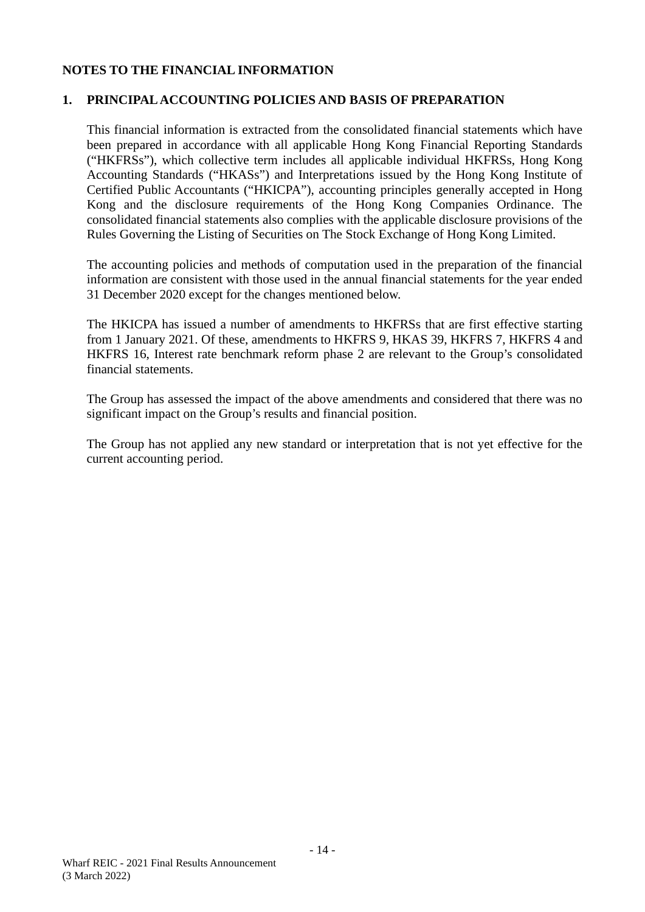### **NOTES TO THE FINANCIAL INFORMATION**

#### **1. PRINCIPAL ACCOUNTING POLICIES AND BASIS OF PREPARATION**

This financial information is extracted from the consolidated financial statements which have been prepared in accordance with all applicable Hong Kong Financial Reporting Standards ("HKFRSs"), which collective term includes all applicable individual HKFRSs, Hong Kong Accounting Standards ("HKASs") and Interpretations issued by the Hong Kong Institute of Certified Public Accountants ("HKICPA"), accounting principles generally accepted in Hong Kong and the disclosure requirements of the Hong Kong Companies Ordinance. The consolidated financial statements also complies with the applicable disclosure provisions of the Rules Governing the Listing of Securities on The Stock Exchange of Hong Kong Limited.

The accounting policies and methods of computation used in the preparation of the financial information are consistent with those used in the annual financial statements for the year ended 31 December 2020 except for the changes mentioned below.

The HKICPA has issued a number of amendments to HKFRSs that are first effective starting from 1 January 2021. Of these, amendments to HKFRS 9, HKAS 39, HKFRS 7, HKFRS 4 and HKFRS 16, Interest rate benchmark reform phase 2 are relevant to the Group's consolidated financial statements.

The Group has assessed the impact of the above amendments and considered that there was no significant impact on the Group's results and financial position.

The Group has not applied any new standard or interpretation that is not yet effective for the current accounting period.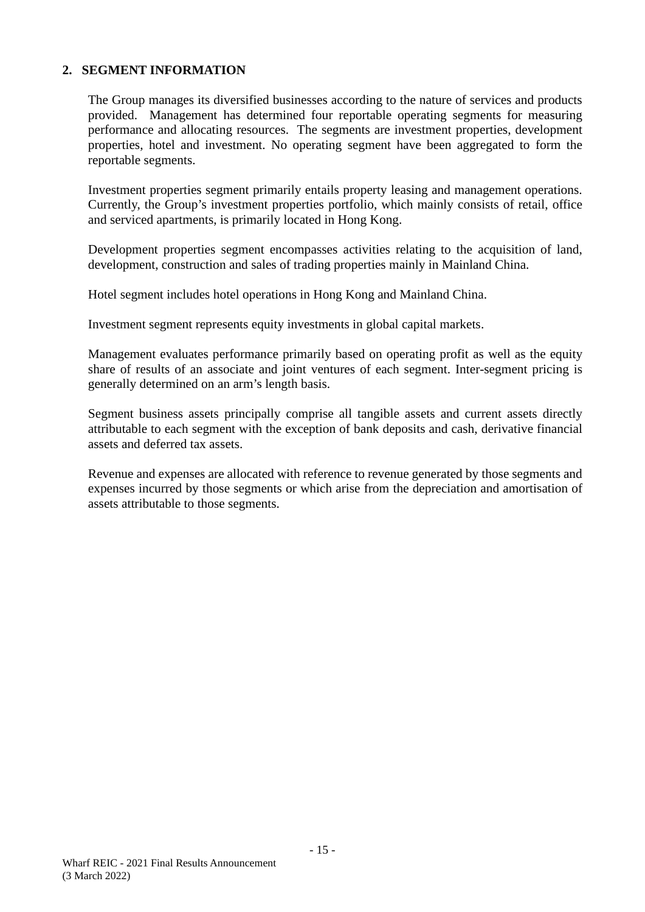The Group manages its diversified businesses according to the nature of services and products provided. Management has determined four reportable operating segments for measuring performance and allocating resources. The segments are investment properties, development properties, hotel and investment. No operating segment have been aggregated to form the reportable segments.

Investment properties segment primarily entails property leasing and management operations. Currently, the Group's investment properties portfolio, which mainly consists of retail, office and serviced apartments, is primarily located in Hong Kong.

Development properties segment encompasses activities relating to the acquisition of land, development, construction and sales of trading properties mainly in Mainland China.

Hotel segment includes hotel operations in Hong Kong and Mainland China.

Investment segment represents equity investments in global capital markets.

Management evaluates performance primarily based on operating profit as well as the equity share of results of an associate and joint ventures of each segment. Inter-segment pricing is generally determined on an arm's length basis.

Segment business assets principally comprise all tangible assets and current assets directly attributable to each segment with the exception of bank deposits and cash, derivative financial assets and deferred tax assets.

Revenue and expenses are allocated with reference to revenue generated by those segments and expenses incurred by those segments or which arise from the depreciation and amortisation of assets attributable to those segments.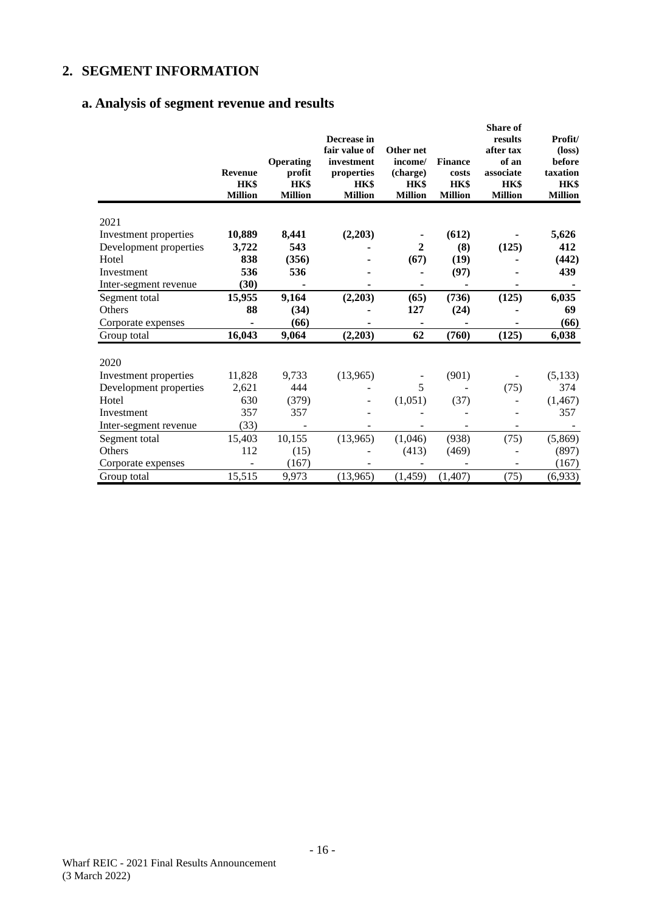# **a. Analysis of segment revenue and results**

|                        | <b>Revenue</b><br>HK\$<br><b>Million</b> | <b>Operating</b><br>profit<br>HK\$<br><b>Million</b> | Decrease in<br>fair value of<br>investment<br>properties<br>HK\$<br><b>Million</b> | Other net<br>income/<br>(charge)<br>HK\$<br><b>Million</b> | <b>Finance</b><br>costs<br><b>HK\$</b><br><b>Million</b> | <b>Share of</b><br>results<br>after tax<br>of an<br>associate<br><b>HK\$</b><br><b>Million</b> | Profit/<br>$(\text{loss})$<br>before<br>taxation<br>HK\$<br><b>Million</b> |
|------------------------|------------------------------------------|------------------------------------------------------|------------------------------------------------------------------------------------|------------------------------------------------------------|----------------------------------------------------------|------------------------------------------------------------------------------------------------|----------------------------------------------------------------------------|
| 2021                   |                                          |                                                      |                                                                                    |                                                            |                                                          |                                                                                                |                                                                            |
| Investment properties  | 10,889                                   | 8,441                                                | (2,203)                                                                            |                                                            | (612)                                                    |                                                                                                | 5,626                                                                      |
| Development properties | 3,722                                    | 543                                                  |                                                                                    | 2                                                          | (8)                                                      | (125)                                                                                          | 412                                                                        |
| Hotel                  | 838                                      | (356)                                                |                                                                                    | (67)                                                       | (19)                                                     |                                                                                                | (442)                                                                      |
| Investment             | 536                                      | 536                                                  |                                                                                    |                                                            | (97)                                                     |                                                                                                | 439                                                                        |
| Inter-segment revenue  | (30)                                     |                                                      |                                                                                    | ٠                                                          |                                                          |                                                                                                |                                                                            |
| Segment total          | 15,955                                   | 9,164                                                | (2,203)                                                                            | (65)                                                       | (736)                                                    | (125)                                                                                          | 6,035                                                                      |
| Others                 | 88                                       | (34)                                                 |                                                                                    | 127                                                        | (24)                                                     |                                                                                                | 69                                                                         |
| Corporate expenses     |                                          | (66)                                                 |                                                                                    | ٠                                                          |                                                          |                                                                                                | (66)                                                                       |
| Group total            | 16,043                                   | 9,064                                                | (2,203)                                                                            | 62                                                         | (760)                                                    | (125)                                                                                          | 6,038                                                                      |
| 2020                   |                                          |                                                      |                                                                                    |                                                            |                                                          |                                                                                                |                                                                            |
| Investment properties  | 11,828                                   | 9,733                                                | (13,965)                                                                           |                                                            | (901)                                                    |                                                                                                | (5, 133)                                                                   |
| Development properties | 2,621                                    | 444                                                  |                                                                                    | 5                                                          |                                                          | (75)                                                                                           | 374                                                                        |
| Hotel                  | 630                                      | (379)                                                |                                                                                    | (1,051)                                                    | (37)                                                     |                                                                                                | (1, 467)                                                                   |
| Investment             | 357                                      | 357                                                  |                                                                                    |                                                            |                                                          |                                                                                                | 357                                                                        |
| Inter-segment revenue  | (33)                                     |                                                      |                                                                                    |                                                            |                                                          |                                                                                                |                                                                            |
| Segment total          | 15,403                                   | 10,155                                               | (13,965)                                                                           | (1,046)                                                    | (938)                                                    | (75)                                                                                           | (5,869)                                                                    |
| Others                 | 112                                      | (15)                                                 |                                                                                    | (413)                                                      | (469)                                                    |                                                                                                | (897)                                                                      |
| Corporate expenses     |                                          | (167)                                                |                                                                                    |                                                            |                                                          |                                                                                                | (167)                                                                      |
| Group total            | 15,515                                   | 9,973                                                | (13,965)                                                                           | (1, 459)                                                   | (1,407)                                                  | (75)                                                                                           | (6,933)                                                                    |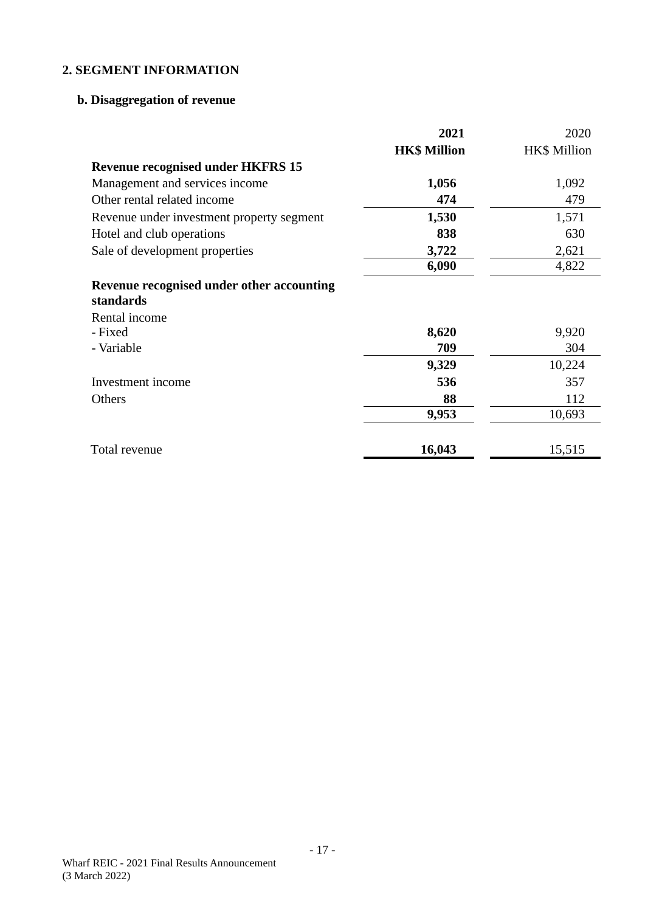# **b. Disaggregation of revenue**

|                                                        | 2021                | 2020         |
|--------------------------------------------------------|---------------------|--------------|
|                                                        | <b>HK\$ Million</b> | HK\$ Million |
| <b>Revenue recognised under HKFRS 15</b>               |                     |              |
| Management and services income                         | 1,056               | 1,092        |
| Other rental related income                            | 474                 | 479          |
| Revenue under investment property segment              | 1,530               | 1,571        |
| Hotel and club operations                              | 838                 | 630          |
| Sale of development properties                         | 3,722               | 2,621        |
|                                                        | 6,090               | 4,822        |
| Revenue recognised under other accounting<br>standards |                     |              |
| Rental income                                          |                     |              |
| - Fixed                                                | 8,620               | 9,920        |
| - Variable                                             | 709                 | 304          |
|                                                        | 9,329               | 10,224       |
| Investment income                                      | 536                 | 357          |
| Others                                                 | 88                  | 112          |
|                                                        | 9,953               | 10,693       |
| Total revenue                                          | 16,043              |              |
|                                                        |                     | 15,515       |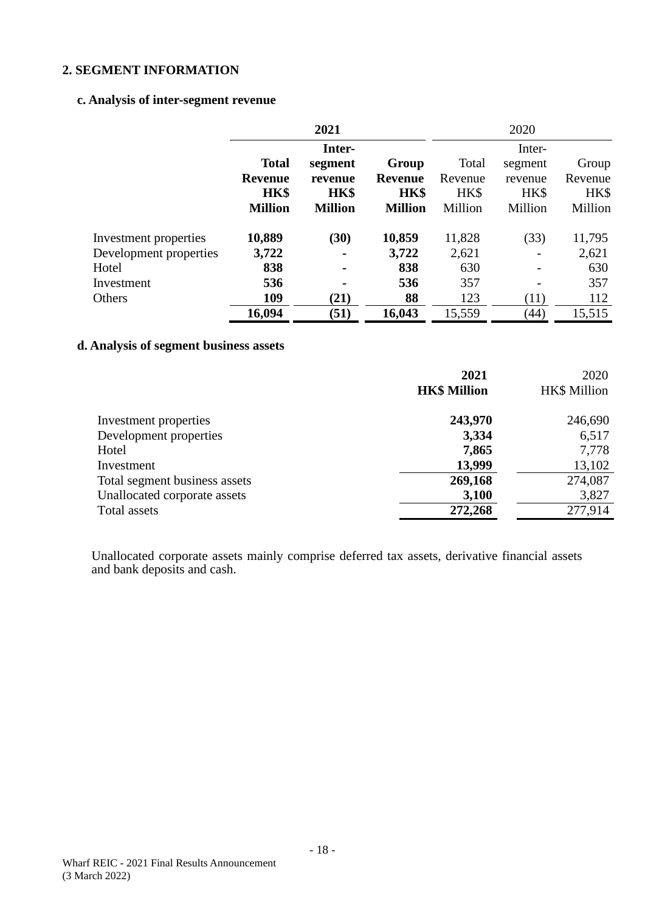#### **c. Analysis of inter-segment revenue**

|                        | 2021           |                |                |         | 2020    |         |
|------------------------|----------------|----------------|----------------|---------|---------|---------|
|                        |                | Inter-         |                |         | Inter-  |         |
|                        | <b>Total</b>   | segment        | Group          | Total   | segment | Group   |
|                        | Revenue        | revenue        | <b>Revenue</b> | Revenue | revenue | Revenue |
|                        | <b>HK\$</b>    | HK\$           | HK\$           | HK\$    | HK\$    | HK\$    |
|                        | <b>Million</b> | <b>Million</b> | <b>Million</b> | Million | Million | Million |
| Investment properties  | 10,889         | (30)           | 10,859         | 11,828  | (33)    | 11,795  |
| Development properties | 3,722          | $\blacksquare$ | 3,722          | 2,621   |         | 2,621   |
| Hotel                  | 838            | $\blacksquare$ | 838            | 630     |         | 630     |
| Investment             | 536            | $\blacksquare$ | 536            | 357     |         | 357     |
| Others                 | 109            | (21)           | 88             | 123     | (11)    | 112     |
|                        | 16,094         | (51)           | 16,043         | 15,559  | (44)    | 15,515  |

# **d. Analysis of segment business assets**

|                               | 2021                | 2020                |
|-------------------------------|---------------------|---------------------|
|                               | <b>HK\$ Million</b> | <b>HK\$</b> Million |
| Investment properties         | 243,970             | 246,690             |
| Development properties        | 3,334               | 6,517               |
| Hotel                         | 7,865               | 7,778               |
| Investment                    | 13,999              | 13,102              |
| Total segment business assets | 269,168             | 274,087             |
| Unallocated corporate assets  | 3,100               | 3,827               |
| Total assets                  | 272,268             | 277,914             |

Unallocated corporate assets mainly comprise deferred tax assets, derivative financial assets and bank deposits and cash.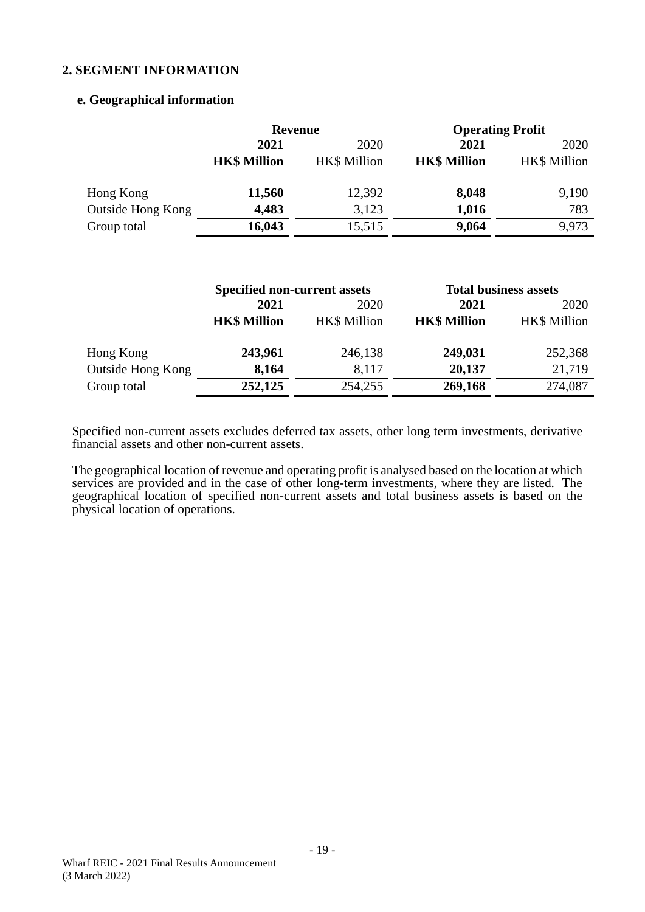#### **e. Geographical information**

|                   | <b>Revenue</b>      |                     |                     | <b>Operating Profit</b> |
|-------------------|---------------------|---------------------|---------------------|-------------------------|
|                   | 2021<br>2020        |                     | 2021                | 2020                    |
|                   | <b>HK\$ Million</b> | <b>HK\$</b> Million | <b>HK\$ Million</b> | <b>HK\$</b> Million     |
| Hong Kong         | 11,560              | 12,392              | 8,048               | 9,190                   |
| Outside Hong Kong | 4,483               | 3,123               | 1,016               | 783                     |
| Group total       | 16,043              | 15,515              | 9,064               | 9.973                   |

|                          | <b>Specified non-current assets</b> |                     |                     | <b>Total business assets</b> |  |
|--------------------------|-------------------------------------|---------------------|---------------------|------------------------------|--|
|                          | 2021                                | 2020                | 2021                | 2020                         |  |
|                          | <b>HK\$ Million</b>                 | <b>HK\$</b> Million | <b>HK\$ Million</b> | <b>HK\$ Million</b>          |  |
| Hong Kong                | 243,961                             | 246,138             | 249,031             | 252,368                      |  |
| <b>Outside Hong Kong</b> | 8,164                               | 8,117               | 20,137              | 21,719                       |  |
| Group total              | 252,125                             | 254,255             | 269,168             | 274,087                      |  |

Specified non-current assets excludes deferred tax assets, other long term investments, derivative financial assets and other non-current assets.

The geographical location of revenue and operating profit is analysed based on the location at which services are provided and in the case of other long-term investments, where they are listed. The geographical location of specified non-current assets and total business assets is based on the physical location of operations.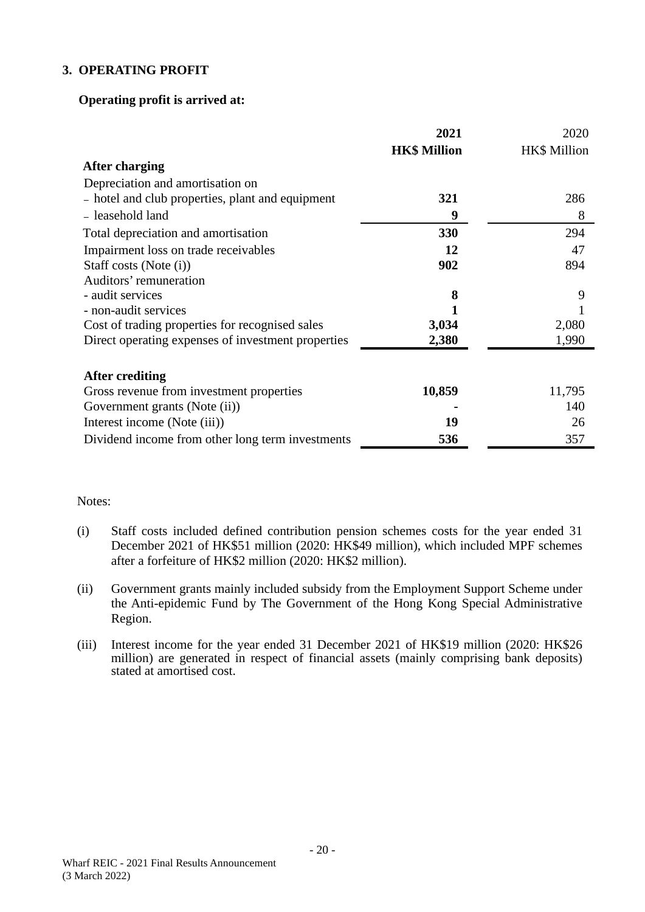#### **3. OPERATING PROFIT**

#### **Operating profit is arrived at:**

|                                                    | 2021                | 2020                |
|----------------------------------------------------|---------------------|---------------------|
|                                                    | <b>HK\$ Million</b> | <b>HK\$ Million</b> |
| After charging                                     |                     |                     |
| Depreciation and amortisation on                   |                     |                     |
| - hotel and club properties, plant and equipment   | 321                 | 286                 |
| - leasehold land                                   | 9                   | 8                   |
| Total depreciation and amortisation                | 330                 | 294                 |
| Impairment loss on trade receivables               | 12                  | 47                  |
| Staff costs (Note (i))                             | 902                 | 894                 |
| Auditors' remuneration                             |                     |                     |
| - audit services                                   | 8                   | 9                   |
| - non-audit services                               |                     |                     |
| Cost of trading properties for recognised sales    | 3,034               | 2,080               |
| Direct operating expenses of investment properties | 2,380               | 1,990               |
| After crediting                                    |                     |                     |
| Gross revenue from investment properties           | 10,859              | 11,795              |
| Government grants (Note (ii))                      |                     | 140                 |
| Interest income (Note (iii))                       | 19                  | 26                  |
| Dividend income from other long term investments   | 536                 | 357                 |

#### Notes:

- (i) Staff costs included defined contribution pension schemes costs for the year ended 31 December 2021 of HK\$51 million (2020: HK\$49 million), which included MPF schemes after a forfeiture of HK\$2 million (2020: HK\$2 million).
- (ii) Government grants mainly included subsidy from the Employment Support Scheme under the Anti-epidemic Fund by The Government of the Hong Kong Special Administrative Region.
- (iii) Interest income for the year ended 31 December 2021 of HK\$19 million (2020: HK\$26 million) are generated in respect of financial assets (mainly comprising bank deposits) stated at amortised cost.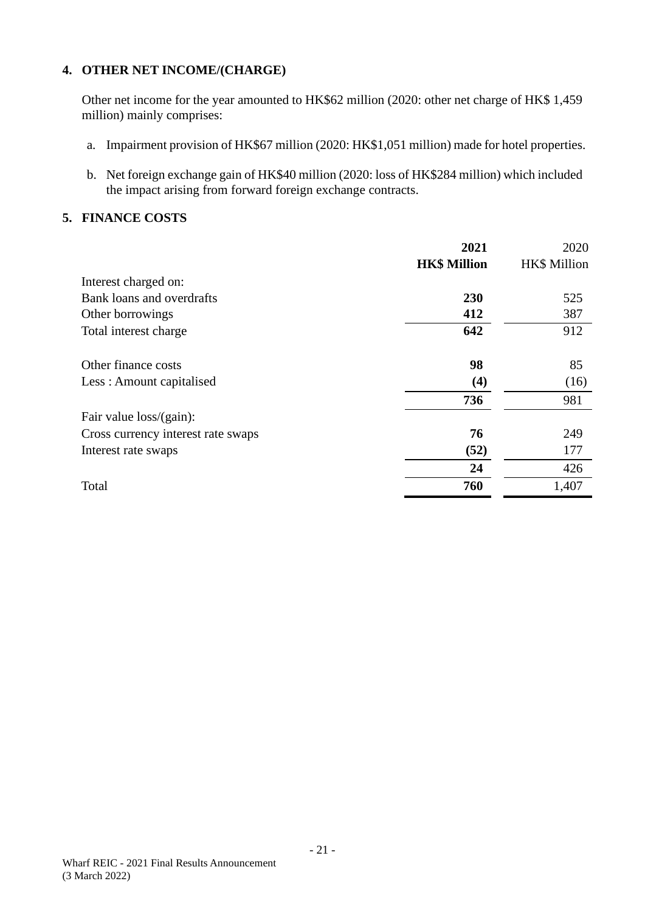# **4. OTHER NET INCOME/(CHARGE)**

Other net income for the year amounted to HK\$62 million (2020: other net charge of HK\$ 1,459 million) mainly comprises:

- a. Impairment provision of HK\$67 million (2020: HK\$1,051 million) made for hotel properties.
- b. Net foreign exchange gain of HK\$40 million (2020: loss of HK\$284 million) which included the impact arising from forward foreign exchange contracts.

#### **5. FINANCE COSTS**

|                                    | 2021                | 2020                |
|------------------------------------|---------------------|---------------------|
|                                    | <b>HK\$ Million</b> | <b>HK\$</b> Million |
| Interest charged on:               |                     |                     |
| Bank loans and overdrafts          | 230                 | 525                 |
| Other borrowings                   | 412                 | 387                 |
| Total interest charge              | 642                 | 912                 |
| Other finance costs                | 98                  | 85                  |
| Less: Amount capitalised           | (4)                 | (16)                |
|                                    | 736                 | 981                 |
| Fair value $loss/(gain)$ :         |                     |                     |
| Cross currency interest rate swaps | 76                  | 249                 |
| Interest rate swaps                | (52)                | 177                 |
|                                    | 24                  | 426                 |
| Total                              | 760                 | 1,407               |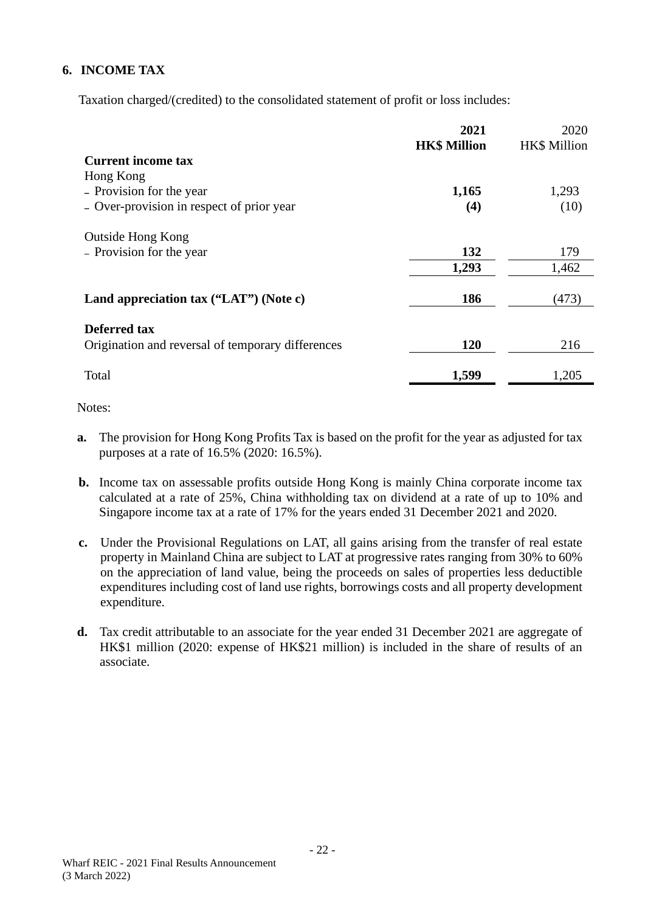# **6. INCOME TAX**

Taxation charged/(credited) to the consolidated statement of profit or loss includes:

|                                                   | 2021<br><b>HK\$ Million</b> | 2020<br><b>HK\$</b> Million |
|---------------------------------------------------|-----------------------------|-----------------------------|
| <b>Current income tax</b>                         |                             |                             |
| Hong Kong                                         |                             |                             |
| - Provision for the year                          | 1,165                       | 1,293                       |
| - Over-provision in respect of prior year         | (4)                         | (10)                        |
| <b>Outside Hong Kong</b>                          |                             |                             |
| - Provision for the year                          | 132                         | 179                         |
|                                                   | 1,293                       | 1,462                       |
| Land appreciation tax ("LAT") (Note c)            | 186                         | (473)                       |
| <b>Deferred tax</b>                               |                             |                             |
| Origination and reversal of temporary differences | 120                         | 216                         |
| Total                                             | 1,599                       | 1,205                       |

Notes:

- **a.** The provision for Hong Kong Profits Tax is based on the profit for the year as adjusted for tax purposes at a rate of 16.5% (2020: 16.5%).
- **b.** Income tax on assessable profits outside Hong Kong is mainly China corporate income tax calculated at a rate of 25%, China withholding tax on dividend at a rate of up to 10% and Singapore income tax at a rate of 17% for the years ended 31 December 2021 and 2020.
- **c.** Under the Provisional Regulations on LAT, all gains arising from the transfer of real estate property in Mainland China are subject to LAT at progressive rates ranging from 30% to 60% on the appreciation of land value, being the proceeds on sales of properties less deductible expenditures including cost of land use rights, borrowings costs and all property development expenditure.
- **d.** Tax credit attributable to an associate for the year ended 31 December 2021 are aggregate of HK\$1 million (2020: expense of HK\$21 million) is included in the share of results of an associate.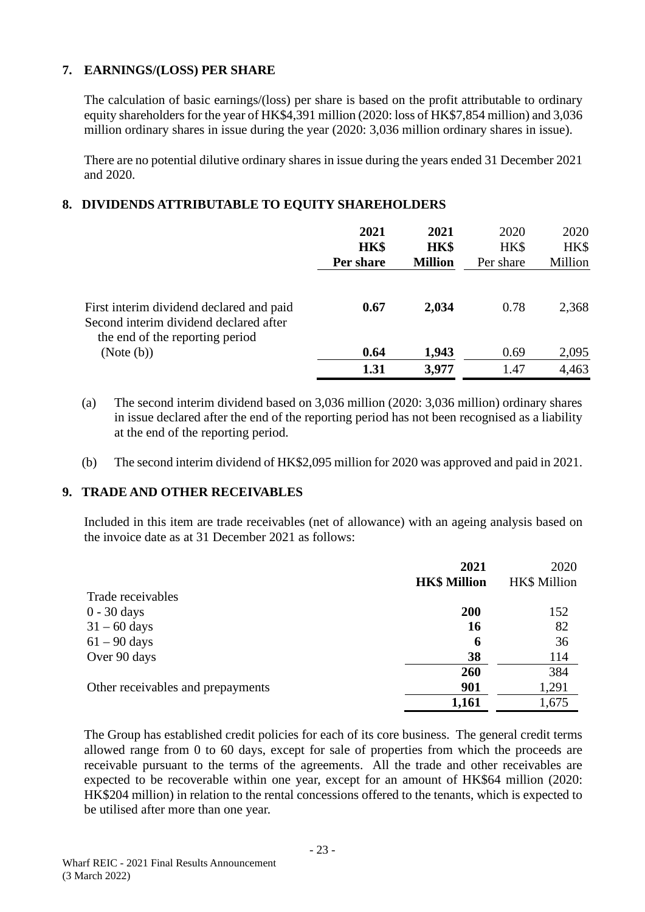## **7. EARNINGS/(LOSS) PER SHARE**

The calculation of basic earnings/(loss) per share is based on the profit attributable to ordinary equity shareholders for the year of HK\$4,391 million (2020: loss of HK\$7,854 million) and 3,036 million ordinary shares in issue during the year (2020: 3,036 million ordinary shares in issue).

There are no potential dilutive ordinary shares in issue during the years ended 31 December 2021 and 2020.

## **8. DIVIDENDS ATTRIBUTABLE TO EQUITY SHAREHOLDERS**

|                                                                                                                       | 2021<br>HK\$<br>Per share | 2021<br>HK\$<br><b>Million</b> | 2020<br>HK\$<br>Per share | 2020<br>HK\$<br>Million |
|-----------------------------------------------------------------------------------------------------------------------|---------------------------|--------------------------------|---------------------------|-------------------------|
| First interim dividend declared and paid<br>Second interim dividend declared after<br>the end of the reporting period | 0.67                      | 2,034                          | 0.78                      | 2,368                   |
| (Note (b))                                                                                                            | 0.64                      | 1,943                          | 0.69                      | 2,095                   |
|                                                                                                                       | 1.31                      | 3,977                          | 1.47                      | 4,463                   |

- (a) The second interim dividend based on 3,036 million (2020: 3,036 million) ordinary shares in issue declared after the end of the reporting period has not been recognised as a liability at the end of the reporting period.
- (b) The second interim dividend of HK\$2,095 million for 2020 was approved and paid in 2021.

## **9. TRADE AND OTHER RECEIVABLES**

Included in this item are trade receivables (net of allowance) with an ageing analysis based on the invoice date as at 31 December 2021 as follows:

|                                   | 2021                | 2020                |
|-----------------------------------|---------------------|---------------------|
|                                   | <b>HK\$ Million</b> | <b>HK\$</b> Million |
| Trade receivables                 |                     |                     |
| $0 - 30$ days                     | 200                 | 152                 |
| $31 - 60$ days                    | 16                  | 82                  |
| $61 - 90$ days                    | 6                   | 36                  |
| Over 90 days                      | 38                  | 114                 |
|                                   | 260                 | 384                 |
| Other receivables and prepayments | 901                 | 1,291               |
|                                   | 1,161               | 1,675               |

The Group has established credit policies for each of its core business. The general credit terms allowed range from 0 to 60 days, except for sale of properties from which the proceeds are receivable pursuant to the terms of the agreements. All the trade and other receivables are expected to be recoverable within one year, except for an amount of HK\$64 million (2020: HK\$204 million) in relation to the rental concessions offered to the tenants, which is expected to be utilised after more than one year.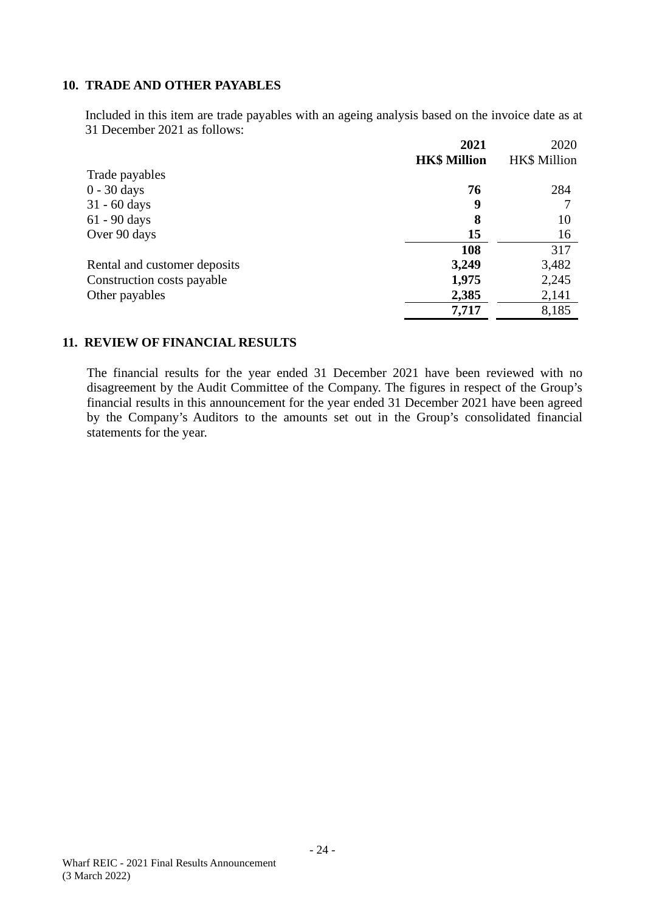#### **10. TRADE AND OTHER PAYABLES**

Included in this item are trade payables with an ageing analysis based on the invoice date as at 31 December 2021 as follows:

|                              | 2021                | 2020                |
|------------------------------|---------------------|---------------------|
|                              | <b>HK\$ Million</b> | <b>HK\$</b> Million |
| Trade payables               |                     |                     |
| $0 - 30$ days                | 76                  | 284                 |
| $31 - 60$ days               | 9                   |                     |
| $61 - 90$ days               | 8                   | 10                  |
| Over 90 days                 | 15                  | 16                  |
|                              | 108                 | 317                 |
| Rental and customer deposits | 3,249               | 3,482               |
| Construction costs payable   | 1,975               | 2,245               |
| Other payables               | 2,385               | 2,141               |
|                              | 7,717               | 8,185               |

#### **11. REVIEW OF FINANCIAL RESULTS**

The financial results for the year ended 31 December 2021 have been reviewed with no disagreement by the Audit Committee of the Company. The figures in respect of the Group's financial results in this announcement for the year ended 31 December 2021 have been agreed by the Company's Auditors to the amounts set out in the Group's consolidated financial statements for the year.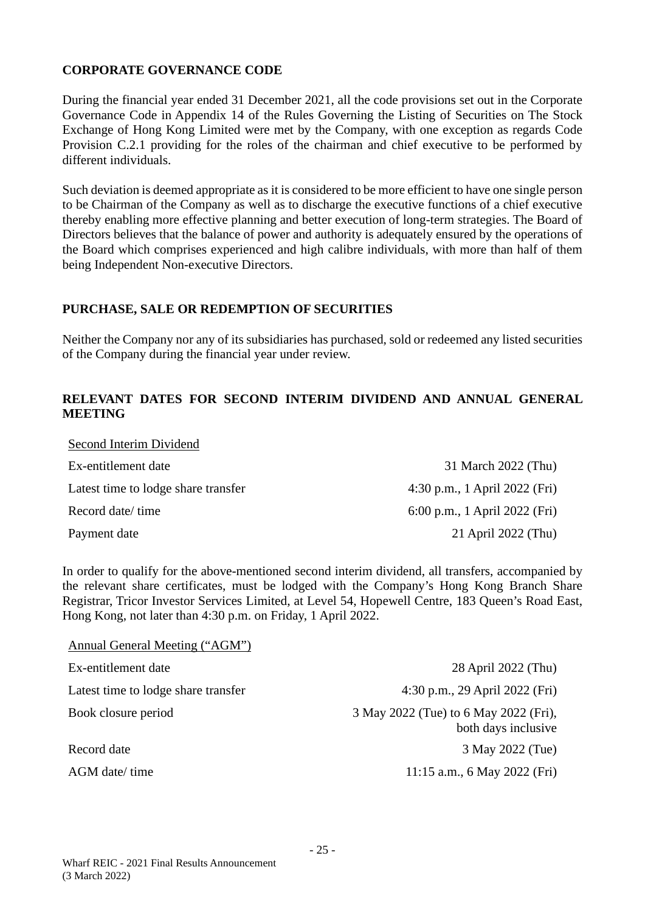## **CORPORATE GOVERNANCE CODE**

Second Interim Dividend

During the financial year ended 31 December 2021, all the code provisions set out in the Corporate Governance Code in Appendix 14 of the Rules Governing the Listing of Securities on The Stock Exchange of Hong Kong Limited were met by the Company, with one exception as regards Code Provision C.2.1 providing for the roles of the chairman and chief executive to be performed by different individuals.

Such deviation is deemed appropriate as it is considered to be more efficient to have one single person to be Chairman of the Company as well as to discharge the executive functions of a chief executive thereby enabling more effective planning and better execution of long-term strategies. The Board of Directors believes that the balance of power and authority is adequately ensured by the operations of the Board which comprises experienced and high calibre individuals, with more than half of them being Independent Non-executive Directors.

#### **PURCHASE, SALE OR REDEMPTION OF SECURITIES**

Neither the Company nor any of its subsidiaries has purchased, sold or redeemed any listed securities of the Company during the financial year under review.

#### **RELEVANT DATES FOR SECOND INTERIM DIVIDEND AND ANNUAL GENERAL MEETING**

| Second Interim Dividend             |                               |
|-------------------------------------|-------------------------------|
| Ex-entitlement date                 | 31 March 2022 (Thu)           |
| Latest time to lodge share transfer | 4:30 p.m., 1 April 2022 (Fri) |
| Record date/ time                   | 6:00 p.m., 1 April 2022 (Fri) |
| Payment date                        | 21 April 2022 (Thu)           |

In order to qualify for the above-mentioned second interim dividend, all transfers, accompanied by the relevant share certificates, must be lodged with the Company's Hong Kong Branch Share Registrar, Tricor Investor Services Limited, at Level 54, Hopewell Centre, 183 Queen's Road East, Hong Kong, not later than 4:30 p.m. on Friday, 1 April 2022.

| Annual General Meeting ("AGM")      |                                                              |
|-------------------------------------|--------------------------------------------------------------|
| Ex-entitlement date                 | 28 April 2022 (Thu)                                          |
| Latest time to lodge share transfer | 4:30 p.m., 29 April 2022 (Fri)                               |
| Book closure period                 | 3 May 2022 (Tue) to 6 May 2022 (Fri),<br>both days inclusive |
| Record date                         | 3 May 2022 (Tue)                                             |
| AGM date/ time                      | 11:15 a.m., 6 May 2022 (Fri)                                 |